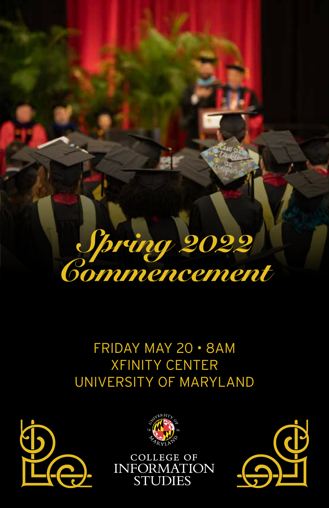

### FRIDAY MAY 20 • 8AM XFINITY CENTER UNIVERSITY OF MARYLAND





**COLLEGE OF** INFORMATION<br>STUDIES

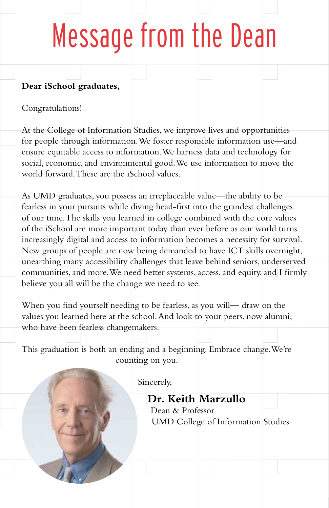## Message from the Dean

#### **Dear iSchool graduates,**

Congratulations!

At the College of Information Studies, we improve lives and opportunities for people through information. We foster responsible information use—and ensure equitable access to information. We harness data and technology for social, economic, and environmental good. We use information to move the world forward. These are the iSchool values.

As UMD graduates, you possess an irreplaceable value—the ability to be fearless in your pursuits while diving head-first into the grandest challenges of our time. The skills you learned in college combined with the core values of the iSchool are more important today than ever before as our world turns increasingly digital and access to information becomes a necessity for survival. New groups of people are now being demanded to have ICT skills overnight, unearthing many accessibility challenges that leave behind seniors, underserved communities, and more. We need better systems, access, and equity, and I firmly believe you all will be the change we need to see.

When you find yourself needing to be fearless, as you will— draw on the values you learned here at the school. And look to your peers, now alumni, who have been fearless changemakers.

This graduation is both an ending and a beginning. Embrace change. We're counting on you.

Sincerely,

### **Dr. Keith Marzullo**

Dean & Professor UMD College of Information Studies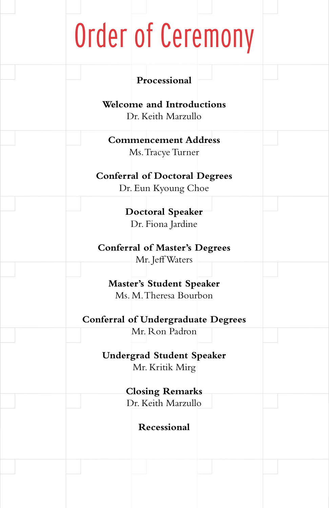## Order of Ceremony

| Processional                                                                                           |  |
|--------------------------------------------------------------------------------------------------------|--|
| <b>Welcome and Introductions</b><br>Dr. Keith Marzullo                                                 |  |
| <b>Commencement Address</b><br>Ms. Tracye Turner                                                       |  |
| <b>Conferral of Doctoral Degrees</b><br>Dr. Eun Kyoung Choe                                            |  |
| <b>Doctoral Speaker</b><br>Dr. Fiona Jardine                                                           |  |
| <b>Conferral of Master's Degrees</b><br>Mr. Jeff Waters                                                |  |
| <b>Master's Student Speaker</b><br>Ms. M. Theresa Bourbon<br><b>Conferral of Undergraduate Degrees</b> |  |
| Mr. Ron Padron                                                                                         |  |
| <b>Undergrad Student Speaker</b><br>Mr. Kritik Mirg                                                    |  |
| <b>Closing Remarks</b>                                                                                 |  |
| Dr. Keith Marzullo                                                                                     |  |
| Recessional                                                                                            |  |
|                                                                                                        |  |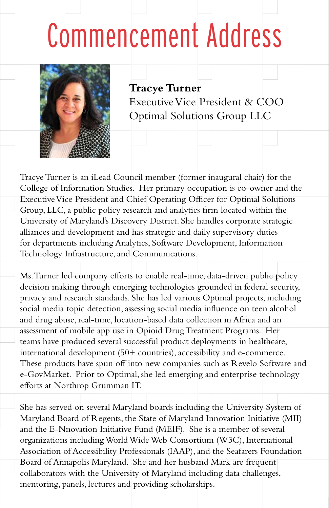## Commencement Address



**Tracye Turner** Executive Vice President & COO Optimal Solutions Group LLC

Tracye Turner is an iLead Council member (former inaugural chair) for the College of Information Studies. Her primary occupation is co-owner and the Executive Vice President and Chief Operating Officer for Optimal Solutions Group, LLC, a public policy research and analytics firm located within the University of Maryland's Discovery District. She handles corporate strategic alliances and development and has strategic and daily supervisory duties for departments including Analytics, Software Development, Information Technology Infrastructure, and Communications.

Ms. Turner led company efforts to enable real-time, data-driven public policy decision making through emerging technologies grounded in federal security, privacy and research standards. She has led various Optimal projects, including social media topic detection, assessing social media influence on teen alcohol and drug abuse, real-time, location-based data collection in Africa and an assessment of mobile app use in Opioid Drug Treatment Programs. Her teams have produced several successful product deployments in healthcare, international development (50+ countries), accessibility and e-commerce. These products have spun off into new companies such as Revelo Software and e-GovMarket. Prior to Optimal, she led emerging and enterprise technology efforts at Northrop Grumman IT.

She has served on several Maryland boards including the University System of Maryland Board of Regents, the State of Maryland Innovation Initiative (MII) and the E-Nnovation Initiative Fund (MEIF). She is a member of several organizations including World Wide Web Consortium (W3C), International Association of Accessibility Professionals (IAAP), and the Seafarers Foundation Board of Annapolis Maryland. She and her husband Mark are frequent collaborators with the University of Maryland including data challenges, mentoring, panels, lectures and providing scholarships.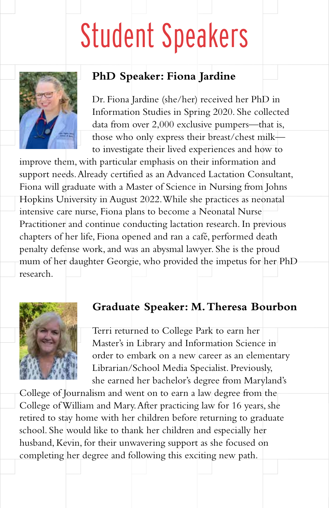### Student Speakers



### **PhD Speaker: Fiona Jardine**

Dr. Fiona Jardine (she/her) received her PhD in Information Studies in Spring 2020. She collected data from over 2,000 exclusive pumpers—that is, those who only express their breast/chest milk to investigate their lived experiences and how to

improve them, with particular emphasis on their information and support needs. Already certified as an Advanced Lactation Consultant, Fiona will graduate with a Master of Science in Nursing from Johns Hopkins University in August 2022. While she practices as neonatal intensive care nurse, Fiona plans to become a Neonatal Nurse Practitioner and continue conducting lactation research. In previous chapters of her life, Fiona opened and ran a café, performed death penalty defense work, and was an abysmal lawyer. She is the proud mum of her daughter Georgie, who provided the impetus for her PhD research.



#### **Graduate Speaker: M. Theresa Bourbon**

Terri returned to College Park to earn her Master's in Library and Information Science in order to embark on a new career as an elementary Librarian/School Media Specialist. Previously, she earned her bachelor's degree from Maryland's

College of Journalism and went on to earn a law degree from the College of William and Mary. After practicing law for 16 years, she retired to stay home with her children before returning to graduate school. She would like to thank her children and especially her husband, Kevin, for their unwavering support as she focused on completing her degree and following this exciting new path.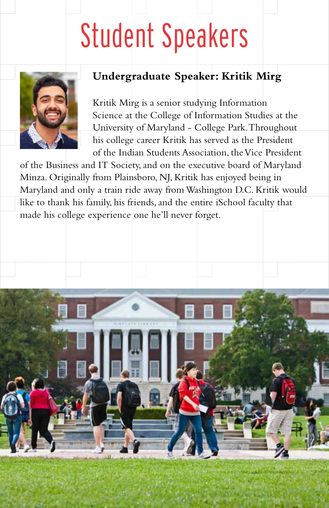## Student Speakers



### **Undergraduate Speaker: Kritik Mirg**

Kritik Mirg is a senior studying Information Science at the College of Information Studies at the University of Maryland - College Park. Throughout his college career Kritik has served as the President of the Indian Students Association, the Vice President

of the Business and IT Society, and on the executive board of Maryland Minza. Originally from Plainsboro, NJ, Kritik has enjoyed being in Maryland and only a train ride away from Washington D.C. Kritik would like to thank his family, his friends, and the entire iSchool faculty that made his college experience one he'll never forget.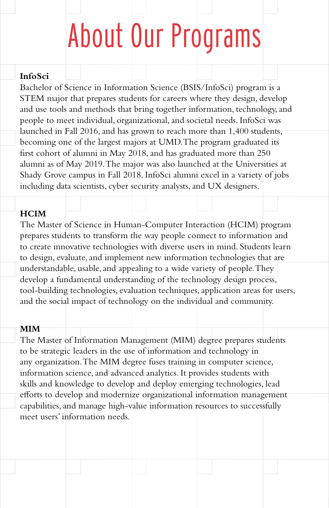### About Our Programs

#### **InfoSci**

Bachelor of Science in Information Science (BSIS/InfoSci) program is a STEM major that prepares students for careers where they design, develop and use tools and methods that bring together information, technology, and people to meet individual, organizational, and societal needs. InfoSci was launched in Fall 2016, and has grown to reach more than 1,400 students, becoming one of the largest majors at UMD. The program graduated its first cohort of alumni in May 2018, and has graduated more than 250 alumni as of May 2019. The major was also launched at the Universities at Shady Grove campus in Fall 2018. InfoSci alumni excel in a variety of jobs including data scientists, cyber security analysts, and UX designers.

#### **HCIM**

The Master of Science in Human-Computer Interaction (HCIM) program prepares students to transform the way people connect to information and to create innovative technologies with diverse users in mind. Students learn to design, evaluate, and implement new information technologies that are understandable, usable, and appealing to a wide variety of people. They develop a fundamental understanding of the technology design process, tool-building technologies, evaluation techniques, application areas for users, and the social impact of technology on the individual and community.

#### **MIM**

The Master of Information Management (MIM) degree prepares students to be strategic leaders in the use of information and technology in any organization. The MIM degree fuses training in computer science, information science, and advanced analytics. It provides students with skills and knowledge to develop and deploy emerging technologies, lead efforts to develop and modernize organizational information management capabilities, and manage high-value information resources to successfully meet users' information needs.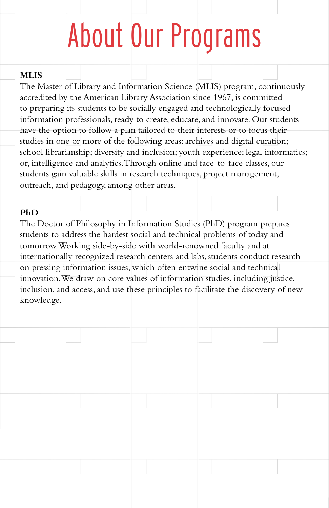## About Our Programs

#### **MLIS**

The Master of Library and Information Science (MLIS) program, continuously accredited by the American Library Association since 1967, is committed to preparing its students to be socially engaged and technologically focused information professionals, ready to create, educate, and innovate. Our students have the option to follow a plan tailored to their interests or to focus their studies in one or more of the following areas: archives and digital curation; school librarianship; diversity and inclusion; youth experience; legal informatics; or, intelligence and analytics. Through online and face-to-face classes, our students gain valuable skills in research techniques, project management, outreach, and pedagogy, among other areas.

#### **PhD**

The Doctor of Philosophy in Information Studies (PhD) program prepares students to address the hardest social and technical problems of today and tomorrow. Working side-by-side with world-renowned faculty and at internationally recognized research centers and labs, students conduct research on pressing information issues, which often entwine social and technical innovation. We draw on core values of information studies, including justice, inclusion, and access, and use these principles to facilitate the discovery of new knowledge.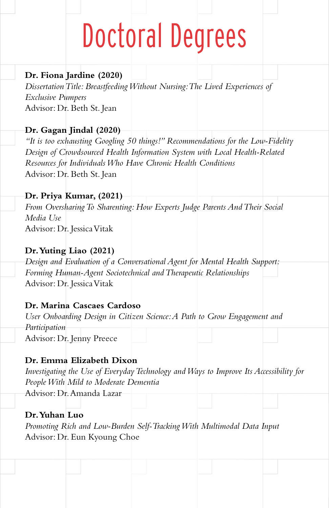## Doctoral Degrees

#### **Dr. Fiona Jardine (2020)**

*Dissertation Title: Breastfeeding Without Nursing: The Lived Experiences of Exclusive Pumpers* Advisor: Dr. Beth St. Jean

### **Dr. Gagan Jindal (2020)**

*"It is too exhausting Googling 50 things!" Recommendations for the Low-Fidelity Design of Crowdsourced Health Information System with Local Health-Related Resources for Individuals Who Have Chronic Health Conditions* Advisor: Dr. Beth St. Jean

#### **Dr. Priya Kumar, (2021)**

*From Oversharing To Sharenting: How Experts Judge Parents And Their Social Media Use* Advisor: Dr. Jessica Vitak

#### **Dr. Yuting Liao (2021)**

*Design and Evaluation of a Conversational Agent for Mental Health Support: Forming Human-Agent Sociotechnical and Therapeutic Relationships* Advisor: Dr. Jessica Vitak

#### **Dr. Marina Cascaes Cardoso**

*User Onboarding Design in Citizen Science: A Path to Grow Engagement and Participation* Advisor: Dr. Jenny Preece

#### **Dr. Emma Elizabeth Dixon**

*Investigating the Use of Everyday Technology and Ways to Improve Its Accessibility for People With Mild to Moderate Dementia*

Advisor: Dr. Amanda Lazar

#### **Dr. Yuhan Luo**

*Promoting Rich and Low-Burden Self-Tracking With Multimodal Data Input* Advisor: Dr. Eun Kyoung Choe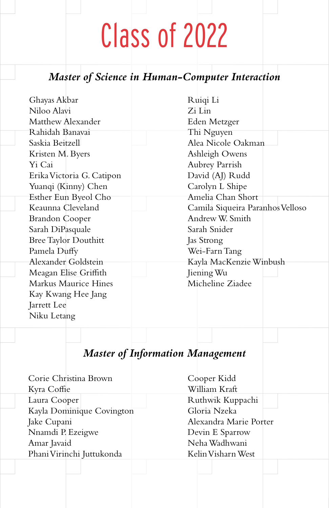### Class of 2022

### *Master of Science in Human-Computer Interaction*

| Ghayas Akbar                            | Ruiqi Li                         |
|-----------------------------------------|----------------------------------|
| Niloo Alavi                             | Zi Lin                           |
| Matthew Alexander                       | Eden Metzger                     |
| Rahidah Banavai                         | Thi Nguyen                       |
| Saskia Beitzell                         | Alea Nicole Oakman               |
| Kristen M. Byers                        | Ashleigh Owens                   |
| Yi Cai                                  | Aubrey Parrish                   |
| Erika Victoria G. Catipon               | David (AJ) Rudd                  |
| Yuanqi (Kinny) Chen                     | Carolyn L Shipe                  |
| Esther Eun Byeol Cho                    | Amelia Chan Short                |
| Keaunna Cleveland                       | Camila Siqueira Paranhos Velloso |
| Brandon Cooper                          | Andrew W. Smith                  |
| Sarah DiPasquale                        | Sarah Snider                     |
| Bree Taylor Douthitt                    | Jas Strong                       |
| Pamela Duffy                            | Wei-Farn Tang                    |
| Alexander Goldstein                     | Kayla MacKenzie Winbush          |
| Meagan Elise Griffith                   | Jiening Wu                       |
| Markus Maurice Hines                    | Micheline Ziadee                 |
| Kay Kwang Hee Jang                      |                                  |
| Jarrett Lee                             |                                  |
| Niku Letang                             |                                  |
|                                         |                                  |
|                                         |                                  |
| <b>Master of Information Management</b> |                                  |
|                                         |                                  |
| Corie Christina Brown                   |                                  |
|                                         | Cooper Kidd<br>William Kraft     |
| Kyra Coffie                             | $\cdot$<br>$1 + 1 + 1 + r$       |

Laura Cooper Kayla Dominique Covington Jake Cupani Nnamdi P. Ezeigwe Amar Javaid Phani Virinchi Juttukonda

Ruthwik Kuppachi Gloria Nzeka Alexandra Marie Porter Devin E Sparrow Neha Wadhwani Kelin Visharn West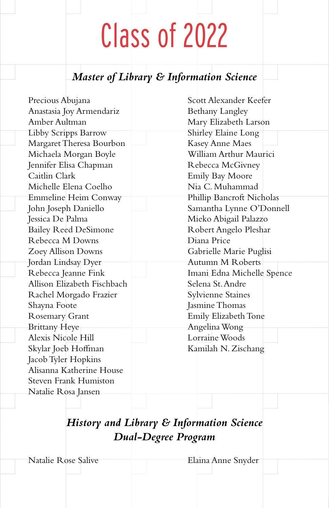### Class of 2022

### *Master of Library & Information Science*

Precious Abujana Anastasia Joy Armendariz Amber Aultman Libby Scripps Barrow Margaret Theresa Bourbon Michaela Morgan Boyle Jennifer Elisa Chapman Caitlin Clark Michelle Elena Coelho Emmeline Heim Conway John Joseph Daniello Jessica De Palma Bailey Reed DeSimone Rebecca M Downs Zoey Allison Downs Jordan Lindsay Dyer Rebecca Jeanne Fink Allison Elizabeth Fischbach Rachel Morgado Frazier Shayna Foote Rosemary Grant Brittany Heye Alexis Nicole Hill Skylar Joeb Hoffman Jacob Tyler Hopkins Alisanna Katherine House Steven Frank Humiston Natalie Rosa Jansen Scott Alexander Keefer Bethany Langley Mary Elizabeth Larson Shirley Elaine Long Kasey Anne Maes William Arthur Maurici Rebecca McGivney Emily Bay Moore Nia C. Muhammad Phillip Bancroft Nicholas Samantha Lynne O'Donnell Mieko Abigail Palazzo Robert Angelo Pleshar Diana Price Gabrielle Marie Puglisi Autumn M Roberts Imani Edna Michelle Spence Selena St. Andre Sylvienne Staines Jasmine Thomas Emily Elizabeth Tone Angelina Wong Lorraine Woods Kamilah N. Zischang

### *History and Library & Information Science Dual-Degree Program*

Natalie Rose Salive **Elaina Anne Snyder**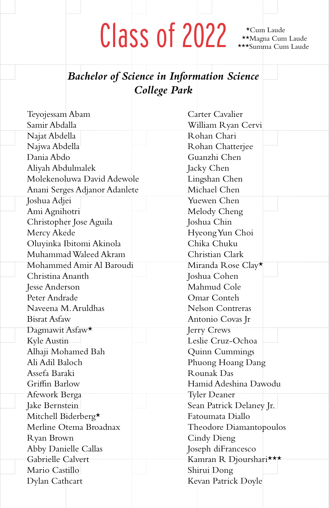## $\text{Class of } 2022 \text{ $\overset{\star_{\text{Cum}\ \text{Laude}}}{\text{ $\overset{\star}{\star}{\star}{\star}{\star}_{\text{Sum}}$~Cum~Laude}$}$

\*Cum Laude

### *Bachelor of Science in Information Science College Park*

| Teyojessam Abam               | Carter Cavalier          |
|-------------------------------|--------------------------|
| Samir Abdalla                 | William Ryan Cervi       |
| Najat Abdella                 | Rohan Chari              |
| Najwa Abdella                 | Rohan Chatterjee         |
| Dania Abdo                    | Guanzhi Chen             |
| Aliyah Abdulmalek             | Jacky Chen               |
| Molekenoluwa David Adewole    | Lingshan Chen            |
| Anani Serges Adjanor Adanlete | Michael Chen             |
| Joshua Adjei                  | Yuewen Chen              |
| Ami Agnihotri                 | Melody Cheng             |
| Christopher Jose Aguila       | Joshua Chin              |
| Mercy Akede                   | Hyeong Yun Choi          |
| Oluyinka Ibitomi Akinola      | Chika Chuku              |
| Muhammad Waleed Akram         | Christian Clark          |
| Mohammed Amir Al Baroudi      | Miranda Rose Clay*       |
| Christina Ananth              | Joshua Cohen             |
| Jesse Anderson                | Mahmud Cole              |
| Peter Andrade                 | Omar Conteh              |
| Naveena M. Aruldhas           | Nelson Contreras         |
| <b>Bisrat Asfaw</b>           | Antonio Covas Jr         |
| Dagmawit Asfaw <sup>★</sup>   | Jerry Crews              |
| Kyle Austin                   | Leslie Cruz-Ochoa        |
| Alhaji Mohamed Bah            | Quinn Cummings           |
| Ali Adil Baloch               | Phuong Hoang Dang        |
| Assefa Baraki                 | Rounak Das               |
| Griffin Barlow                | Hamid Adeshina Dawodu    |
| Afework Berga                 | <b>Tyler Deaner</b>      |
| Jake Bernstein                | Sean Patrick Delaney Jr. |
| Mitchell Biderberg*           | Fatoumata Diallo         |
| Merline Otema Broadnax        | Theodore Diamantopoulos  |
| Ryan Brown                    | Cindy Dieng              |
| Abby Danielle Callas          | Joseph diFrancesco       |
| Gabrielle Calvert             | Kamran R Djourshari***   |
| Mario Castillo                | Shirui Dong              |
| Dylan Cathcart                | Kevan Patrick Doyle      |
|                               |                          |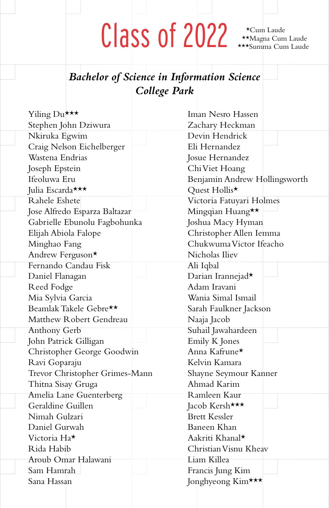\*Cum Laude

### *Bachelor of Science in Information Science College Park*

| Yiling Du***                   | Iman Nesro Hassen             |
|--------------------------------|-------------------------------|
| Stephen John Dziwura           | Zachary Heckman               |
| Nkiruka Egwim                  | Devin Hendrick                |
| Craig Nelson Eichelberger      | Eli Hernandez                 |
| Wastena Endrias                | Josue Hernandez               |
| Joseph Epstein                 | Chi Viet Hoang                |
| Ifeoluwa Eru                   | Benjamin Andrew Hollingsworth |
| Julia Escarda***               | Quest Hollis*                 |
| Rahele Eshete                  | Victoria Fatuyari Holmes      |
| Jose Alfredo Esparza Baltazar  | Mingqian Huang**              |
| Gabrielle Ebunolu Fagbohunka   | Joshua Macy Hyman             |
| Elijah Abiola Falope           | Christopher Allen Iemma       |
| Minghao Fang                   | Chukwuma Victor Ifeacho       |
| Andrew Ferguson*               | Nicholas Iliev                |
| Fernando Candau Fisk           | Ali Iqbal                     |
| Daniel Flanagan                | Darian Irannejad*             |
| Reed Fodge                     | Adam Iravani                  |
| Mia Sylvia Garcia              | Wania Simal Ismail            |
| Beamlak Takele Gebre**         | Sarah Faulkner Jackson        |
| Matthew Robert Gendreau        | Naaja Jacob                   |
| Anthony Gerb                   | Suhail Jawahardeen            |
| John Patrick Gilligan          | Emily K Jones                 |
| Christopher George Goodwin     | Anna Kafrune*                 |
| Ravi Goparaju                  | Kelvin Kamara                 |
| Trevor Christopher Grimes-Mann | Shayne Seymour Kanner         |
| Thitna Sisay Gruga             | Ahmad Karim                   |
| Amelia Lane Guenterberg        | Ramleen Kaur                  |
| Geraldine Guillen              | Jacob Kersh***                |
| Nimah Gulzari                  | <b>Brett Kessler</b>          |
| Daniel Gurwah                  | Baneen Khan                   |
| Victoria Ha*                   | Aakriti Khanal*               |
| Rida Habib                     | Christian Visnu Kheav         |
| Aroub Omar Halawani            | Liam Killea                   |
| Sam Hamrah                     | Francis Jung Kim              |
| Sana Hassan                    | Jonghyeong Kim***             |
|                                |                               |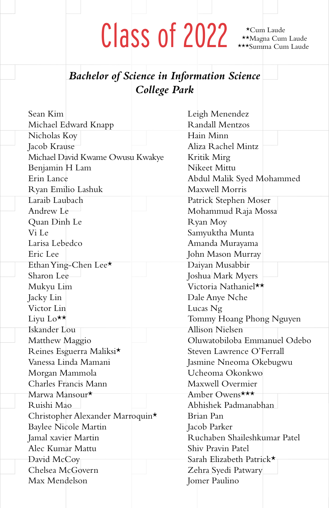\*Cum Laude

| <b>Bachelor of Science in Information Science</b><br>College Park |                              |
|-------------------------------------------------------------------|------------------------------|
| Sean Kim                                                          | Leigh Menendez               |
| Michael Edward Knapp                                              | Randall Mentzos              |
| Nicholas Koy                                                      | Hain Minn                    |
| Jacob Krause                                                      | Aliza Rachel Mintz           |
| Michael David Kwame Owusu Kwakye                                  | Kritik Mirg                  |
| Benjamin H Lam                                                    | Nikeet Mittu                 |
| Erin Lance                                                        | Abdul Malik Syed Mohammed    |
| Ryan Emilio Lashuk                                                | Maxwell Morris               |
| Laraib Laubach                                                    | Patrick Stephen Moser        |
| Andrew Le                                                         | Mohammud Raja Mossa          |
| Quan Dinh Le                                                      | Ryan Moy                     |
| Vi Le                                                             | Samyuktha Munta              |
| Larisa Lebedco                                                    | Amanda Murayama              |
| Eric Lee                                                          | John Mason Murray            |
| Ethan Ying-Chen Lee*                                              | Daiyan Musabbir              |
| Sharon Lee                                                        | Joshua Mark Myers            |
| Mukyu Lim                                                         | Victoria Nathaniel**         |
| Jacky Lin                                                         | Dale Anye Nche               |
| Victor Lin                                                        | Lucas Ng                     |
| Liyu Lo**                                                         | Tommy Hoang Phong Nguyen     |
| Iskander Lou                                                      | Allison Nielsen              |
| Matthew Maggio                                                    | Oluwatobiloba Emmanuel Odebo |
| Reines Esguerra Maliksi*                                          | Steven Lawrence O'Ferrall    |
| Vanessa Linda Mamani                                              | Jasmine Nneoma Okebugwu      |
| Morgan Mammola                                                    | Ucheoma Okonkwo              |
| Charles Francis Mann                                              | Maxwell Overmier             |
| Marwa Mansour*                                                    | Amber Owens***               |
| Ruishi Mao                                                        | Abhishek Padmanabhan         |
| Christopher Alexander Marroquin*                                  | Brian Pan                    |
| Baylee Nicole Martin                                              | Jacob Parker                 |
| Jamal xavier Martin                                               | Ruchaben Shaileshkumar Patel |
| Alec Kumar Mattu                                                  | Shiv Pravin Patel            |
| David McCoy                                                       | Sarah Elizabeth Patrick*     |
| Chelsea McGovern                                                  | Zehra Syedi Patwary          |
| Max Mendelson                                                     | Iomer Paulino                |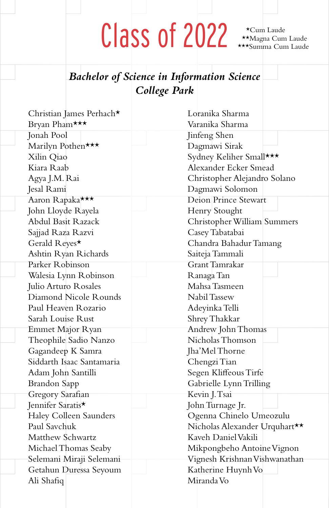\*Cum Laude

### *Bachelor of Science in Information Science College Park*

| Christian James Perhach*      | Loranika Sharma               |
|-------------------------------|-------------------------------|
| Bryan Pham***                 | Varanika Sharma               |
| Jonah Pool                    | Jinfeng Shen                  |
| Marilyn Pothen***             | Dagmawi Sirak                 |
| Xilin Qiao                    | Sydney Keliher Small***       |
| Kiara Raab                    | Alexander Ecker Smead         |
| Agya J.M. Rai                 | Christopher Alejandro Solano  |
| Jesal Rami                    | Dagmawi Solomon               |
| Aaron Rapaka***               | <b>Deion Prince Stewart</b>   |
| John Lloyde Rayela            | Henry Stought                 |
| Abdul Basit Razack            | Christopher William Summers   |
| Sajjad Raza Razvi             | Casey Tabatabai               |
| Gerald Reyes*                 | Chandra Bahadur Tamang        |
| Ashtin Ryan Richards          | Saiteja Tammali               |
| Parker Robinson               | Grant Tamrakar                |
| Walesia Lynn-Robinson         | Ranaga Tan                    |
| Julio Arturo Rosales          | Mahsa Tasmeen                 |
| Diamond Nicole Rounds         | Nabil Tassew                  |
| Paul Heaven Rozario           | Adeyinka Telli                |
| Sarah Louise Rust             | Shrey Thakkar                 |
| Emmet Major Ryan              | Andrew John Thomas            |
| Theophile Sadio Nanzo         | Nicholas Thomson              |
| Gagandeep K Samra             | Jha'Mel Thorne                |
| Siddarth Isaac Santamaria     | Chengzi Tian                  |
| Adam John Santilli            | Segen Kliffeous Tirfe         |
| <b>Brandon Sapp</b>           | Gabrielle Lynn Trilling       |
| Gregory Sarafian              | Kevin J. Tsai                 |
| Jennifer Saratis <sup>★</sup> | John Turnage Jr.              |
| Haley Colleen Saunders        | Ogenna Chinelo Umeozulu       |
| Paul Savchuk                  | Nicholas Alexander Urquhart** |
| Matthew Schwartz              | Kaveh Daniel Vakili           |
| Michael Thomas Seaby          | Mikpongbeho Antoine Vignon    |
| Selemani Miraji Selemani      | Vignesh Krishnan Vishwanathan |
| Getahun Duressa Seyoum        | Katherine Huynh Vo            |
| Ali Shafiq                    | Miranda Vo                    |
|                               |                               |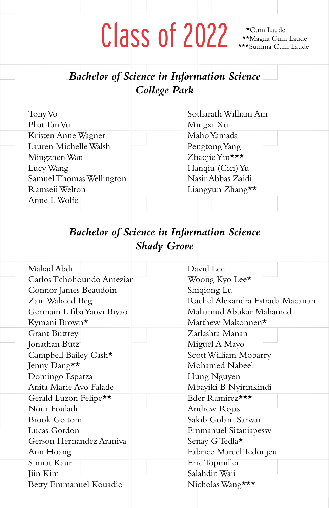\*Cum Laude

|                          |                            |                                   | <b>Bachelor of Science in Information Science</b> |  |
|--------------------------|----------------------------|-----------------------------------|---------------------------------------------------|--|
|                          | College Park               |                                   |                                                   |  |
|                          |                            |                                   |                                                   |  |
| Tony Vo                  |                            |                                   | Sotharath William Am                              |  |
| Phat Tan Vu              |                            |                                   | Mingxi Xu                                         |  |
|                          | Kristen Anne Wagner        |                                   | Maho Yamada                                       |  |
| Lauren Michelle Walsh    |                            |                                   | Pengtong Yang                                     |  |
| Mingzhen Wan             |                            |                                   | Zhaojie Yin***                                    |  |
| Lucy Wang                |                            |                                   | Hanqiu (Cici) Yu                                  |  |
| Samuel Thomas Wellington |                            |                                   | Nasir Abbas Zaidi                                 |  |
| Ramseii Welton           |                            |                                   | Liangyun Zhang**                                  |  |
| Anne L Wolfe             |                            |                                   |                                                   |  |
|                          |                            |                                   |                                                   |  |
|                          |                            |                                   |                                                   |  |
|                          |                            |                                   | <b>Bachelor of Science in Information Science</b> |  |
|                          |                            | <b>Shady Grove</b>                |                                                   |  |
|                          |                            |                                   |                                                   |  |
| Mahad Abdi               |                            |                                   | David Lee                                         |  |
|                          | Carlos Tchohoundo Amezian  |                                   | Woong Kyo Lee*                                    |  |
|                          | Connor James Beaudoin      |                                   | Shiqiong Lu                                       |  |
| Zain Waheed Beg          |                            | Rachel Alexandra Estrada Macairan |                                                   |  |
|                          | Germain Lifiba Yaovi Biyao |                                   | Mahamud Abukar Mahamed                            |  |
| Kymani Brown*            |                            |                                   | Matthew Makonnen*                                 |  |
| <b>Grant Buttrey</b>     |                            |                                   | Zarlashta Manan                                   |  |
| Jonathan Butz            |                            |                                   | Miguel A Mayo                                     |  |
|                          | Campbell Bailey Cash*      |                                   | Scott William Mobarry                             |  |
| Jenny Dang**             |                            |                                   | Mohamed Nabeel                                    |  |
| Domingo Esparza          |                            |                                   | Hung Nguyen                                       |  |
|                          | Anita Marie Avo Falade     |                                   | Mbayiki B Nyirinkindi                             |  |
|                          | Gerald Luzon Felipe**      |                                   | Eder Ramirez***                                   |  |
| Nour Fouladi             |                            |                                   | Andrew Rojas                                      |  |
| <b>Brook Goitom</b>      |                            |                                   | Sakib Golam Sarwar                                |  |
| Lucas Gordon             |                            |                                   | <b>Emmanuel Sitaniapessy</b>                      |  |
| Gerson Hernandez Araniva |                            |                                   | Senay G Tedla*                                    |  |
| Ann Hoang                |                            |                                   | Fabrice Marcel Tedonjeu                           |  |
| Simrat Kaur              |                            |                                   | Eric Topmiller                                    |  |
| Jiin Kim                 |                            |                                   | Salahdin Waji                                     |  |
|                          | Betty Emmanuel Kouadio     |                                   | Nicholas Wang***                                  |  |
|                          |                            |                                   |                                                   |  |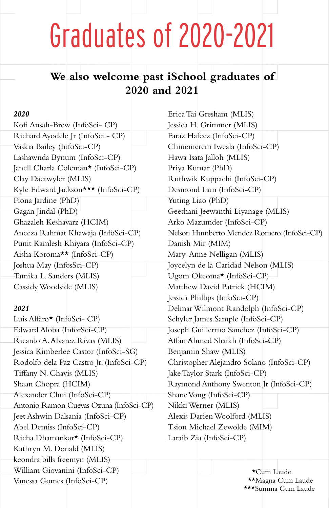### Graduates of 2020-2021

### **We also welcome past iSchool graduates of 2020 and 2021**

#### *2020*

Kofi Ansah-Brew (InfoSci- CP) Richard Ayodele Jr (InfoSci - CP) Vaskia Bailey (InfoSci-CP) Lashawnda Bynum (InfoSci-CP) Janell Charla Coleman\* (InfoSci-CP) Clay Daetwyler (MLIS) Kyle Edward Jackson\*\*\* (InfoSci-CP) Fiona Jardine (PhD) Gagan Jindal (PhD) Ghazaleh Keshavarz (HCIM) Aneeza Rahmat Khawaja (InfoSci-CP) Punit Kamlesh Khiyara (InfoSci-CP) Aisha Koroma\*\* (InfoSci-CP) Joshua May (InfosSci-CP) Tamika L. Sanders (MLIS) Cassidy Woodside (MLIS)

#### *2021*

Luis Alfaro\* (InfoSci- CP) Edward Aloba (InforSci-CP) Ricardo A. Alvarez Rivas (MLIS) Jessica Kimberlee Castor (InfoSci-SG) Rodolfo dela Paz Castro Jr. (InfoSci-CP) Tiffany N. Chavis (MLIS) Shaan Chopra (HCIM) Alexander Chui (InfoSci-CP) Antonio Ramon Cuevas Ozuna (InfoSci-CP) Jeet Ashwin Dalsania (InfoSci-CP) Abel Demiss (InfoSci-CP) Richa Dhamankar\* (InfoSci-CP) Kathryn M. Donald (MLIS) keondra bills freemyn (MLIS) William Giovanini (InfoSci-CP) Vanessa Gomes (InfoSci-CP)

Erica Tai Gresham (MLIS) Jessica H. Grimmer (MLIS) Faraz Hafeez (InfoSci-CP) Chinemerem Iweala (InfoSci-CP) Hawa Isata Jalloh (MLIS) Priya Kumar (PhD) Ruthwik Kuppachi (InfoSci-CP) Desmond Lam (InfoSci-CP) Yuting Liao (PhD) Geethani Jeewanthi Liyanage (MLIS) Arko Mazumder (InfoSci-CP) Nelson Humberto Mendez Romero (InfoSci-CP) Danish Mir (MIM) Mary-Anne Nelligan (MLIS) Joycelyn de la Caridad Nelson (MLIS) Ugom Okeoma\* (InfoSci-CP) Matthew David Patrick (HCIM) Jessica Phillips (InfoSci-CP) Delmar Wilmont Randolph (InfoSci-CP) Schyler James Sample (InfoSci-CP) Joseph Guillermo Sanchez (InfoSci-CP) Affan Ahmed Shaikh (InfoSci-CP) Benjamin Shaw (MLIS) Christopher Alejandro Solano (InfoSci-CP) Jake Taylor Stark (InfoSci-CP) Raymond Anthony Swenton Jr (InfoSci-CP) Shane Vong (InfoSci-CP) Nikki Werner (MLIS) Alexis Darien Woolford (MLIS) Tsion Michael Zewolde (MIM) Laraib Zia (InfoSci-CP)

> \*Cum Laude \*\*Magna Cum Laude \*\*\*Summa Cum Laude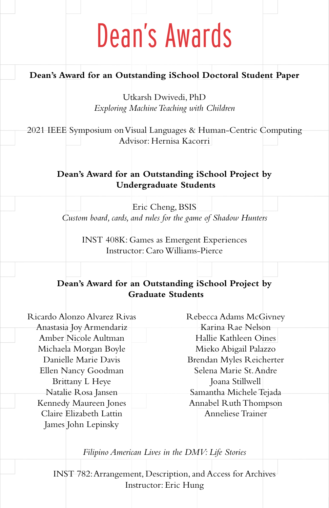### Dean's Awards

#### **Dean's Award for an Outstanding iSchool Doctoral Student Paper**

Utkarsh Dwivedi, PhD *Exploring Machine Teaching with Children*

2021 IEEE Symposium on Visual Languages & Human-Centric Computing Advisor: Hernisa Kacorri

#### **Dean's Award for an Outstanding iSchool Project by Undergraduate Students**

Eric Cheng, BSIS *Custom board, cards, and rules for the game of Shadow Hunters*

INST 408K: Games as Emergent Experiences Instructor: Caro Williams-Pierce

#### **Dean's Award for an Outstanding iSchool Project by Graduate Students**

Ricardo Alonzo Alvarez Rivas Anastasia Joy Armendariz Amber Nicole Aultman Michaela Morgan Boyle Danielle Marie Davis Ellen Nancy Goodman Brittany L Heye Natalie Rosa Jansen Kennedy Maureen Jones Claire Elizabeth Lattin James John Lepinsky

Rebecca Adams McGivney Karina Rae Nelson Hallie Kathleen Oines Mieko Abigail Palazzo Brendan Myles Reicherter Selena Marie St. Andre Joana Stillwell Samantha Michele Tejada Annabel Ruth Thompson Anneliese Trainer

*Filipino American Lives in the DMV: Life Stories*

INST 782: Arrangement, Description, and Access for Archives Instructor: Eric Hung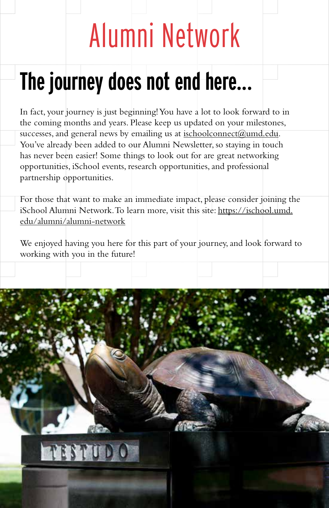# Alumni Network

### **The journey does not end here...**

In fact, your journey is just beginning! You have a lot to look forward to in the coming months and years. Please keep us updated on your milestones, successes, and general news by emailing us at ischoolconnect@umd.edu. You've already been added to our Alumni Newsletter, so staying in touch has never been easier! Some things to look out for are great networking opportunities, iSchool events, research opportunities, and professional partnership opportunities.

For those that want to make an immediate impact, please consider joining the iSchool Alumni Network. To learn more, visit this site: https://ischool.umd. edu/alumni/alumni-network

We enjoyed having you here for this part of your journey, and look forward to working with you in the future!